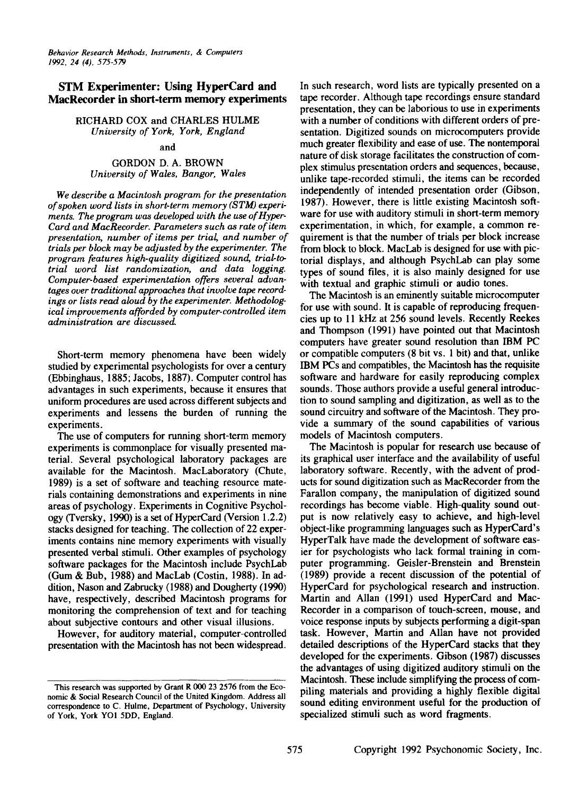# STM Experimenter: Using HyperCard and MacRecorder in short-term memory experiments

RICHARD COX and CHARLES HULME *University of York, York, England*

#### and

# GORDON D. A. BROWN *University of Wales, Bangor, Wales*

*We describe a Macintosh program for the presentation ofspoken word lists in short-term memory (STM) experiments. The program was developed with the use of Hyper-Card and MacRecorder. Parameters such as rate ofitem presentation, number of items per trial; and number of trials per block may be adjusted by the experimenter. The program features high-quality digitized sound, trial-totrial word list randomization, and data logging. Computer-based experimentation offers several advan*tages over traditional approaches that *involve* tape *recordings or lists read aloud by the experimenter. Methodological improvements afforded by computer-controlled item administration are discussed.*

Short-term memory phenomena have been widely studied by experimental psychologists for over a century (Ebbinghaus, 1885; Jacobs, 1887). Computer control has advantages in such experiments, because it ensures that uniform procedures are used across different subjects and experiments and lessens the burden of running the experiments.

The use of computers for running short-term memory experiments is commonplace for visually presented material. Several psychological laboratory packages are available for the Macintosh. MacLaboratory (Chute, 1989) is a set of software and teaching resource materials containing demonstrations and experiments in nine areas of psychology. Experiments in Cognitive Psychology (Tversky, 1990) is a set of HyperCard (Version 1.2.2) stacks designed for teaching. The collection of 22 experiments contains nine memory experiments with visually presented verbal stimuli. Other examples of psychology software packages for the Macintosh include PsychLab (Gum & Bub, 1988) and MacLab (Costin, 1988). In addition, Nason and Zabrucky (1988) and Dougherty (1990) have, respectively, described Macintosh programs for monitoring the comprehension of text and for teaching about subjective contours and other visual illusions.

However, for auditory material, computer-controlled presentation with the Macintosh has not been widespread.

In such research, word lists are typically presented on a tape recorder. Although tape recordings ensure standard presentation, they can be laborious to use in experiments with a number of conditions with different orders of presentation. Digitized sounds on microcomputers provide much greater flexibility and ease of use. The nontemporal nature of disk storage facilitates the construction of complex stimulus presentation orders and sequences, because, unlike tape-recorded stimuli, the items can be recorded independently of intended presentation order (Gibson, 1987). However, there is little existing Macintosh software for use with auditory stimuli in short-term memory experimentation, in which, for example, a common requirement is that the number of trials per block increase from block to block. MacLab is designed for use with pictorial displays, and although PsychLab can play some types of sound files, it is also mainly designed for use with textual and graphic stimuli or audio tones.

The Macintosh is an eminently suitable microcomputer for use with sound. It is capable of reproducing frequencies up to 11 kHz at 256 sound levels. Recently Reekes and Thompson (1991) have pointed out that Macintosh computers have greater sound resolution than IBM PC or compatible computers (8 bit vs. 1 bit) and that, unlike IBM PCs and compatibles, the Macintosh has the requisite software and hardware for easily reproducing complex sounds. Those authors provide a useful general introduction to sound sampling and digitization, as well as to the sound circuitry and software of the Macintosh. They provide a summary of the sound capabilities of various models of Macintosh computers.

The Macintosh is popular for research use because of its graphical user interface and the availability of useful laboratory software. Recently, with the advent of products for sound digitization such as MacRecorder from the Farallon company, the manipulation of digitized sound recordings has become viable. High-quality sound output is now relatively easy to achieve, and high-level object-like programming languages such as HyperCard's HyperTalk have made the development of software easier for psychologists who lack formal training in computer programming. Geisler-Brenstein and Brenstein (1989) provide a recent discussion of the potential of HyperCard for psychological research and instruction. Martin and Allan (1991) used HyperCard and Mac-Recorder in a comparison of touch-screen, mouse, and voice response inputs by subjects performing a digit-span task. However, Martin and Allan have not provided detailed descriptions of the HyperCard stacks that they developed for the experiments. Gibson (1987) discusses the advantages of using digitized auditory stimuli on the Macintosh. These include simplifying the process of compiling materials and providing a highly flexible digital sound editing environment useful for the production of specialized stimuli such as word fragments.

This research was supported by Grant R 000 23 2576 from the Economic & Social Research Council of the United Kingdom. Address all correspondence to C. Hulme, Department of Psychology, University of York, York YOI 5DD, England.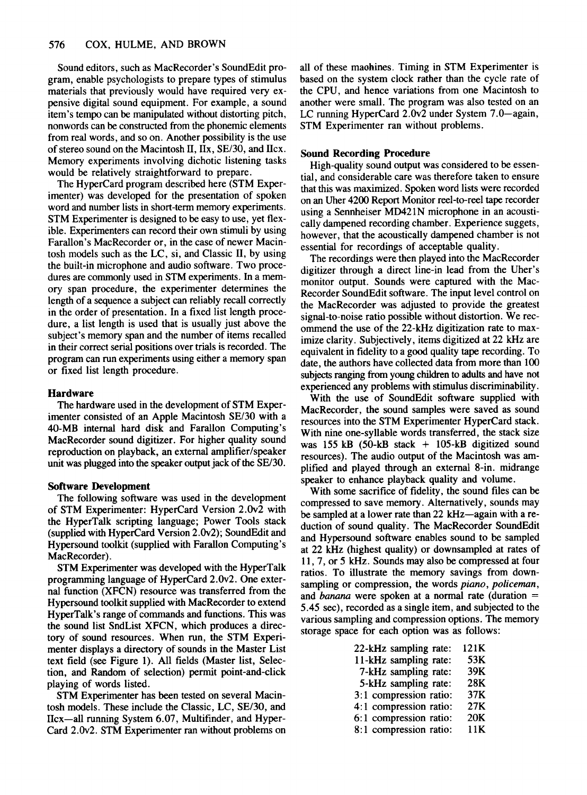Sound editors, such as MacRecorder's SoundEdit program, enable psychologists to prepare types of stimulus materials that previously would have required very expensive digital sound equipment. For example, a sound item's tempo can be manipulated Without distorting pitch, nonwords can be constructed from the phonemic elements from real words, and so on. Another possibility is the use of stereo sound on the Macintosh II,  $IIx$ ,  $SE/30$ , and  $Ilcx$ . Memory experiments involving dichotic listening tasks would be relatively straightforward to prepare.

The HyperCard program described here (STM Experimenter) was developed for the presentation of spoken word and number lists in short-term memory experiments. STM Experimenter is designed to be easy to use, yet flexible. Experimenters can record their own stimuli by using. Farallon's MacRecorder or, in the case of newer Macintosh models such as the LC, si, and Classic II, by using the built-in microphone and audio software. Two procedures are commonly used in STM experiments. In a memory span procedure, the experimenter determines the length of a sequence a subject can reliably recall correctly in the order of presentation. In a fixed list length procedure, a list length is used that is usually just above the subject's memory span and the number of items recalled in their correct serial positions over trials is recorded. The program can run experiments using either a memory span or fixed list length procedure.

# Hardware

The hardware used in the development of STM Experimenter consisted of an Apple Macintosh SE/30 with a 4O-MB internal hard disk and Farallon Computing's MacRecorder sound digitizer. For higher quality sound reproduction on playback, an external amplifier/speaker unit was plugged into the speaker output jack of the SE/30.

# Software Development

The following software was used in the development of STM Experimenter: HyperCard Version 2.Ov2 with the HyperTalk scripting language; Power Tools stack (supplied with HyperCard Version  $2.0v2$ ); SoundEdit and Hypersound toolkit (supplied with Farallon Computing's MacRecorder).

STM Experimenter was developed with the HyperTalk programming language of HyperCard 2.Ov2. One external function (XFCN) resource was transferred from the Hypersound toolkit supplied with MacRecorder to extend HyperTalk's range of commands and functions. This was the sound list SndList XFCN, which produces a directory of sound resources. When run, the STM Experimenter displays a directory of sounds in the Master List text field (see Figure 1). All fields (Master list, Selection, and Random of selection) permit point-and-click playing of words listed. .

STM Experimenter has been tested on several Macintosh models. These include the Classic, LC, SE/30, and IIcx-all running System 6.07, Multifinder, and Hyper-Card 2.Ov2. STM Experimenter ran without problems on all of these maohines. Timing in STM Experimenter is based on the system clock rather than the cycle rate of the CPU, and hence variations from one Macintosh to another were small. The program was also tested on an LC running HyperCard 2.0v2 under System 7.0—again, STM Experimenter ran without problems.

### Sound Recording Procedure

High-quality sound output was considered to be essential, and considerable care was therefore taken to ensure that this was maximized. Spoken word lists were recorded on an Uher 4200 Report Monitor reel-to-reel tape recorder using a Sennheiser MD421N microphone in an acoustically dampened recording chamber. Experience suggets, however, that the acoustically dampened chamber is not essential for recordings of acceptable quality.

The recordings were then played into the MacRecorder digitizer through a direct line-in lead from the Uher's monitor output. Sounds were captured With the Mac-Recorder SoundEdit software. The input level control on the MacRecorder was adjusted to provide the greatest signal-to-noise ratio possible without distortion. We recommend the use of the 22-kHz digitization rate to maximize clarity. Subjectively, items digitized at 22 kHz are equivalent in fidelity to a good quality tape recording. To date, the authors have collected data from more than 100 subjects ranging from young children to adults and have not experienced any problems with stimulus discriminability.

With the use of SoundEdit software supplied With MacRecorder, the sound samples were saved as sound resources into the STM Experimenter HyperCard stack. With nine one-syllable words transferred, the stack size was 155 kB (50-kB stack + 105-kB digitized sound resources). The audio output of the Macintosh was amplified and played through an external 8-in. midrange speaker to enhance playback quality and volume.

With some sacrifice of fidelity, the sound files can be compressed to save memory. Alternatively, sounds may be sampled at a lower rate than  $22 \text{ kHz}$  -again with a reduction of sound quality. The MacRecorder SoundEdit and Hypersound software enables sound to be sampled at 22 kHz (highest quality) or downsampled at rates of 11, 7, or 5 kHz. Sounds may also be compressed at four ratios. To illustrate the memory savings from downsampling or compression, the words *piano*, *policeman*, and *banana* were spoken at a normal rate (duration = 5.45 sec), recorded as a single item, and subjected to the various sampling and compression options. The memory storage space for each option was as follows:

| 22-kHz sampling rate:   | 121K   |
|-------------------------|--------|
| 11-kHz sampling rate:   | 53K    |
| 7-kHz sampling rate:    | 39K    |
| 5-kHz sampling rate:    | 28K    |
| 3:1 compression ratio:  | 37K    |
| 4:1 compression ratio:  | 27K    |
| 6:1 compression ratio:  | 20K    |
| $0.1$ compromise retire | 1 1 IZ |

8:1 compression ratio: 11K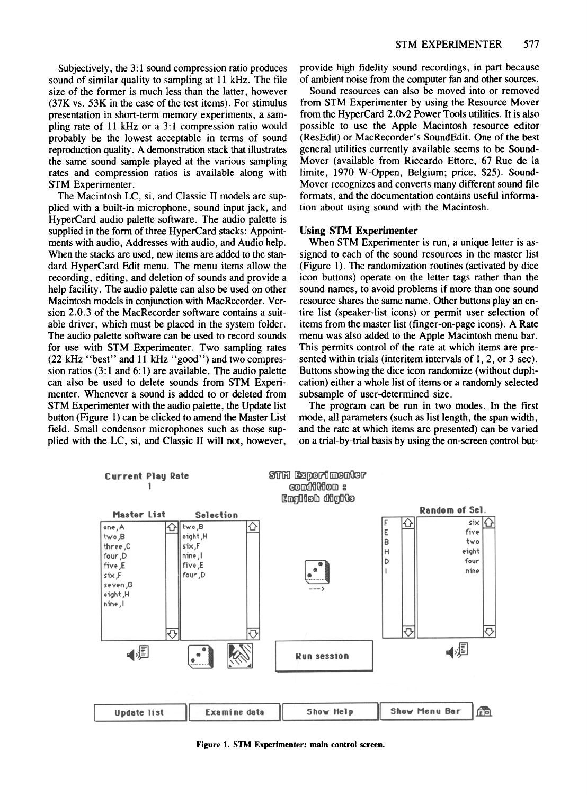Subjectively, the 3:1 sound compression ratio produces sound of similar quality to sampling at 11 kHz. The file size of the former is much less than the latter, however (37K vs. 53K in the case of the test items). For stimulus presentation in short-term memory experiments, a sampling rate of 11 kHz or a 3:1 compression ratio would probably be the lowest acceptable in terms of sound reproduction quality. A demonstration stack that illustrates the same sound sample played at the various sampling rates and compression ratios is available along with STM Experimenter.

The Macintosh LC, si, and Classic II models are supplied with a built-in microphone, sound input jack, and HyperCard audio palette software. The audio palette is supplied in the form of three HyperCard stacks: Appointments with audio, Addresses with audio, and Audio help. When the stacks are used, new items are added to the standard HyperCard Edit menu. The menu items allow the recording, editing, and deletion of sounds and provide a help facility. The audio palette can also be used on other Macintosh models in conjunction with MacRecorder. Version 2.0.3 of the MacRecorder software contains a suitable driver, which must be placed in the system folder. The audio palette software can be used to record sounds for use with STM Experimenter. Two sampling rates (22 kHz "best" and 11 kHz "good") and two compression ratios  $(3:1 \text{ and } 6:1)$  are available. The audio palette can also be used to delete sounds from STM Experimenter. Whenever a sound is added to or deleted from STM Experimenter with the audio palette, the Update list button (Figure 1) can be clicked to amend the Master List field. Small condensor microphones such as those supplied with the LC, si, and Classic II will not, however,

provide high fidelity sound recordings, in part because of ambient noise from the computer fan and other sources.

Sound resources can also be moved into or removed from STM Experimenter by using the Resource Mover from the HyperCard 2.Ov2 Power Tools utilities. It is also possible to use the Apple Macintosh resource editor (ResEdit) or MacRecorder's SoundEdit. One of the best general utilities currently available seems to be Sound-Mover (available from Riccardo Ettore, 67 Rue de la limite, 1970 W-Oppen, Belgium; price, \$25). Sound-Mover recognizes and converts many different sound file formats, and the documentation contains useful information about using sound with the Macintosh.

#### Using STM Experimenter

When STM Experimenter is run, a unique letter is assigned to each of the sound resources in the master list (Figure I). The randomization routines (activated by dice icon buttons) operate on the letter tags rather than the sound names, to avoid problems if more than one sound resource shares the same name. Other buttons play an entire list (speaker-list icons) or permit user selection of items from the master list (finger-on-page icons). A Rate menu was also added to the Apple Macintosh menu bar. This permits control of the rate at which items are presented within trials (interitem intervals of 1, 2, or 3 sec). Buttons showing the dice icon randomize (without duplication) either a whole list of items or a randomly selected subsample of user-determined size.

The program can be run in two modes. In the first mode, all parameters (such as list length, the span width, and the rate at which items are presented) can be varied on a trial-by-trial basis by using the on-screen control but-



Figure 1. STM Experimenter: main control screen.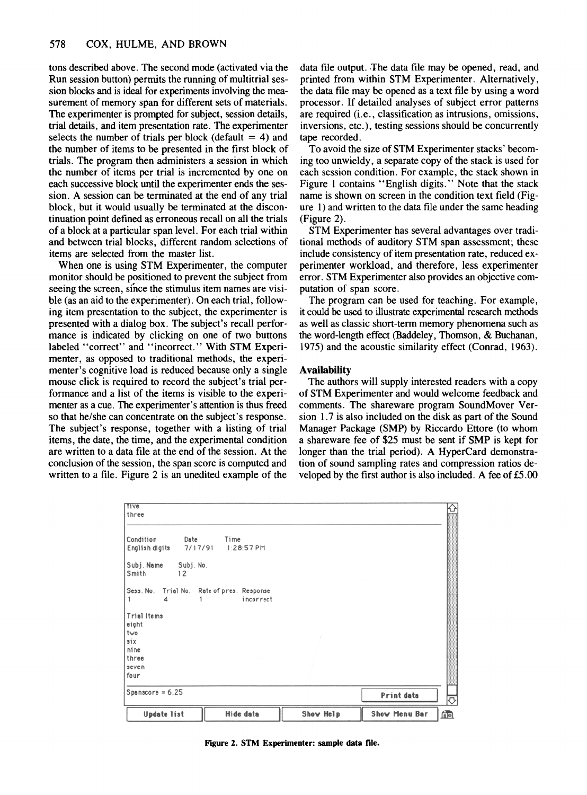tons described above. The second mode (activated via the Run session button) permits the running of multitrial session blocks and is ideal for experiments involving the measurement of memory span for different sets of materials. The experimenter is prompted for subject, session details, trial details, and item presentation rate. The experimenter selects the number of trials per block (default  $= 4$ ) and the number of items to be presented in the first block of trials. The program then administers a session in which the number of items per trial is incremented by one on each successive block until the experimenter ends the session. A session can be terminated at the end of any trial block, but it would usually be terminated at the discontinuation point defined as erroneous recall on all the trials of a block at a particular span level. For each trial within and between trial blocks, different random selections of items are selected from the master list.

When one is using STM Experimenter, the computer monitor should be positioned to prevent the subject from seeing the screen, since the stimulus item names are visible (as an aid to the experimenter). On each trial, following item presentation to the subject, the experimenter is presented with a dialog box. The subject's recall performance is indicated by clicking on one of two buttons labeled "correct" and "incorrect." With STM Experimenter, as opposed to traditional methods, the experimenter's cognitive load is reduced because only a single mouse click is required to record the subject's trial performance and a list of the items is visible to the experimenter as a cue. The experimenter's attention is thus freed so that he/she can concentrate on the subject's response. The subject's response, together with a listing of trial items, the date, the time, and the experimental condition are written to a data file at the end of the session. At the conclusion of the session, the span score is computed and written to a file. Figure 2 is an unedited example of the data file output. The data file may be opened, read, and printed from within STM Experimenter. Alternatively, the data file may be opened as a text file by using a word processor. If detailed analyses of subject error patterns are required (i.e., classification as intrusions, omissions, inversions, etc.), testing sessions should be concurrently tape recorded.

To avoid the size of STM Experimenter stacks' becoming too unwieldy, a separate copy of the stack is used for each session condition. For example, the stack shown in Figure 1 contains "English digits." Note that the stack name is shown on screen in the condition text field (Figure 1) and written to the data file under the same heading (Figure 2).

STM Experimenter has several advantages over traditional methods of auditory STM span assessment; these include consistency of item presentation rate, reduced experimenter workload, and therefore, less experimenter error. STM Experimenter also provides an objective computation of span score.

The program can be used for teaching. For example, it could be used to illustrate experimental research methods as well as classic short-term memory phenomena such as the word-length effect (Baddeley, Thomson, & Buchanan, 1975) and the acoustic similarity effect (Conrad, 1963).

### Availability

The authors will supply interested readers with a copy of STM Experimenter and would welcome feedback and comments. The shareware program SoundMover Version 1.7 is also included on the disk as part of the Sound Manager Package (SMP) by Riccardo Ettore (to whom a shareware fee of \$25 must be sent if SMP is kept for longer than the trial period). A HyperCard demonstration of sound sampling rates and compression ratios developed by the first author is also included. A fee of £5.00

| Spanscore = $6.25$                              |            | <b>Print data</b> |  |
|-------------------------------------------------|------------|-------------------|--|
| four                                            |            |                   |  |
| seven                                           |            |                   |  |
| three                                           |            |                   |  |
| ni ne                                           |            |                   |  |
| six                                             |            |                   |  |
| two                                             |            |                   |  |
| Trial Items<br>eight                            |            |                   |  |
|                                                 |            |                   |  |
| Sess. No. Trial No. Rate of pres. Response<br>4 | incorrect  |                   |  |
| Smith<br>12                                     |            |                   |  |
| Subj. Name<br>Subj. No.                         |            |                   |  |
| 7/17/91<br>English digits                       | 1:28:57 PM |                   |  |
| Condition<br>Date                               | Time       |                   |  |
|                                                 |            |                   |  |
| <b>Tive</b><br>three                            |            |                   |  |

Figure 2. STM Experimenter: sample data file.